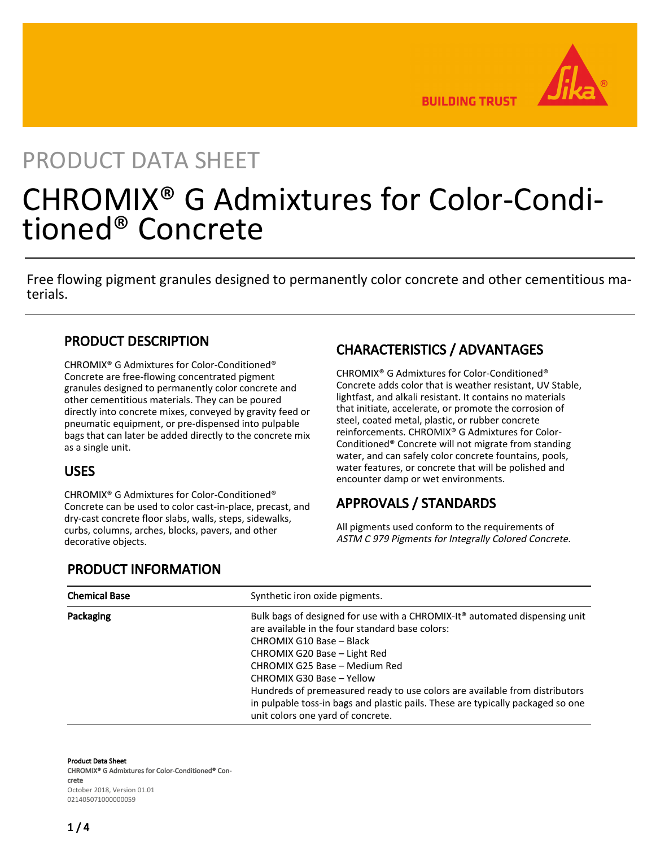**BUILDING TRUST** 

# PRODUCT DATA SHEET

# CHROMIX® G Admixtures for Color-Conditioned® Concrete

Free flowing pigment granules designed to permanently color concrete and other cementitious materials.

## PRODUCT DESCRIPTION

CHROMIX® G Admixtures for Color-Conditioned® Concrete are free-flowing concentrated pigment granules designed to permanently color concrete and other cementitious materials. They can be poured directly into concrete mixes, conveyed by gravity feed or pneumatic equipment, or pre-dispensed into pulpable bags that can later be added directly to the concrete mix as a single unit.

## USES

CHROMIX® G Admixtures for Color-Conditioned® Concrete can be used to color cast-in-place, precast, and dry-cast concrete floor slabs, walls, steps, sidewalks, curbs, columns, arches, blocks, pavers, and other decorative objects.

# CHARACTERISTICS / ADVANTAGES

CHROMIX® G Admixtures for Color-Conditioned® Concrete adds color that is weather resistant, UV Stable, lightfast, and alkali resistant. It contains no materials that initiate, accelerate, or promote the corrosion of steel, coated metal, plastic, or rubber concrete reinforcements. CHROMIX® G Admixtures for Color-Conditioned® Concrete will not migrate from standing water, and can safely color concrete fountains, pools, water features, or concrete that will be polished and encounter damp or wet environments.

## APPROVALS / STANDARDS

All pigments used conform to the requirements of ASTM C 979 Pigments for Integrally Colored Concrete.

## PRODUCT INFORMATION

| <b>Chemical Base</b> | Synthetic iron oxide pigments.                                                                                                                                                                                                                                                                                                                                                                                                                                             |
|----------------------|----------------------------------------------------------------------------------------------------------------------------------------------------------------------------------------------------------------------------------------------------------------------------------------------------------------------------------------------------------------------------------------------------------------------------------------------------------------------------|
| Packaging            | Bulk bags of designed for use with a CHROMIX-It <sup>®</sup> automated dispensing unit<br>are available in the four standard base colors:<br>CHROMIX G10 Base - Black<br>CHROMIX G20 Base - Light Red<br>CHROMIX G25 Base - Medium Red<br>CHROMIX G30 Base - Yellow<br>Hundreds of premeasured ready to use colors are available from distributors<br>in pulpable toss-in bags and plastic pails. These are typically packaged so one<br>unit colors one yard of concrete. |

Product Data Sheet CHROMIX® G Admixtures for Color-Conditioned® Concrete October 2018, Version 01.01 021405071000000059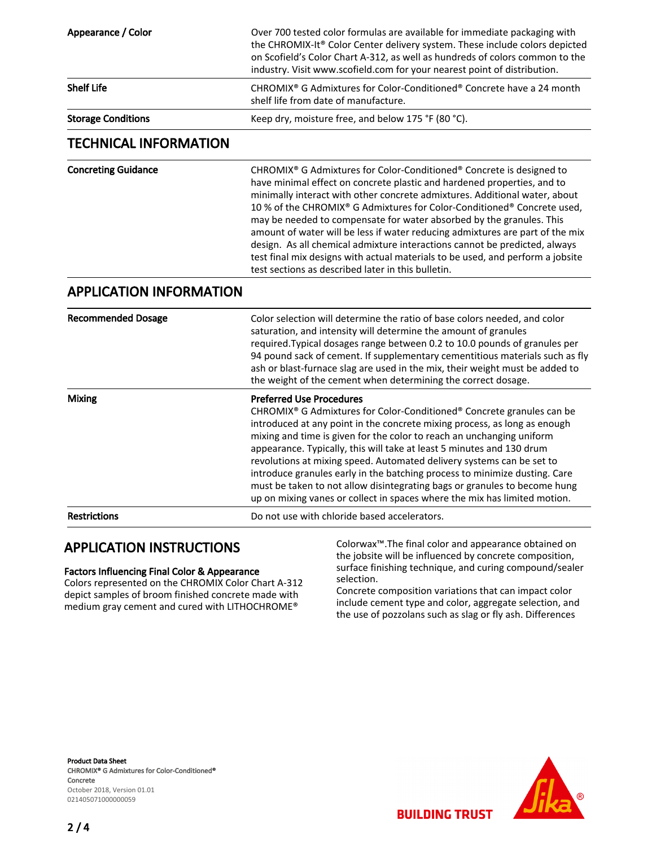| Appearance / Color<br>Over 700 tested color formulas are available for immediate packaging with<br>the CHROMIX-It® Color Center delivery system. These include colors depicted<br>on Scofield's Color Chart A-312, as well as hundreds of colors common to the<br>industry. Visit www.scofield.com for your nearest point of distribution.<br><b>Shelf Life</b><br>CHROMIX <sup>®</sup> G Admixtures for Color-Conditioned <sup>®</sup> Concrete have a 24 month<br>shelf life from date of manufacture.<br><b>Storage Conditions</b><br>Keep dry, moisture free, and below 175 °F (80 °C).<br><b>TECHNICAL INFORMATION</b><br><b>Concreting Guidance</b><br>CHROMIX <sup>®</sup> G Admixtures for Color-Conditioned <sup>®</sup> Concrete is designed to<br>have minimal effect on concrete plastic and hardened properties, and to<br>minimally interact with other concrete admixtures. Additional water, about<br>10 % of the CHROMIX® G Admixtures for Color-Conditioned® Concrete used,<br>may be needed to compensate for water absorbed by the granules. This<br>amount of water will be less if water reducing admixtures are part of the mix<br>design. As all chemical admixture interactions cannot be predicted, always<br>test final mix designs with actual materials to be used, and perform a jobsite<br>test sections as described later in this bulletin. |  |
|------------------------------------------------------------------------------------------------------------------------------------------------------------------------------------------------------------------------------------------------------------------------------------------------------------------------------------------------------------------------------------------------------------------------------------------------------------------------------------------------------------------------------------------------------------------------------------------------------------------------------------------------------------------------------------------------------------------------------------------------------------------------------------------------------------------------------------------------------------------------------------------------------------------------------------------------------------------------------------------------------------------------------------------------------------------------------------------------------------------------------------------------------------------------------------------------------------------------------------------------------------------------------------------------------------------------------------------------------------------------------|--|
|                                                                                                                                                                                                                                                                                                                                                                                                                                                                                                                                                                                                                                                                                                                                                                                                                                                                                                                                                                                                                                                                                                                                                                                                                                                                                                                                                                              |  |
|                                                                                                                                                                                                                                                                                                                                                                                                                                                                                                                                                                                                                                                                                                                                                                                                                                                                                                                                                                                                                                                                                                                                                                                                                                                                                                                                                                              |  |
|                                                                                                                                                                                                                                                                                                                                                                                                                                                                                                                                                                                                                                                                                                                                                                                                                                                                                                                                                                                                                                                                                                                                                                                                                                                                                                                                                                              |  |
|                                                                                                                                                                                                                                                                                                                                                                                                                                                                                                                                                                                                                                                                                                                                                                                                                                                                                                                                                                                                                                                                                                                                                                                                                                                                                                                                                                              |  |
|                                                                                                                                                                                                                                                                                                                                                                                                                                                                                                                                                                                                                                                                                                                                                                                                                                                                                                                                                                                                                                                                                                                                                                                                                                                                                                                                                                              |  |
| <b>APPLICATION INFORMATION</b>                                                                                                                                                                                                                                                                                                                                                                                                                                                                                                                                                                                                                                                                                                                                                                                                                                                                                                                                                                                                                                                                                                                                                                                                                                                                                                                                               |  |
| <b>Recommended Dosage</b><br>Color selection will determine the ratio of base colors needed, and color<br>saturation, and intensity will determine the amount of granules<br>required. Typical dosages range between 0.2 to 10.0 pounds of granules per<br>94 pound sack of cement. If supplementary cementitious materials such as fly<br>ash or blast-furnace slag are used in the mix, their weight must be added to<br>the weight of the cement when determining the correct dosage.                                                                                                                                                                                                                                                                                                                                                                                                                                                                                                                                                                                                                                                                                                                                                                                                                                                                                     |  |
| <b>Preferred Use Procedures</b><br><b>Mixing</b><br>CHROMIX <sup>®</sup> G Admixtures for Color-Conditioned <sup>®</sup> Concrete granules can be<br>introduced at any point in the concrete mixing process, as long as enough<br>mixing and time is given for the color to reach an unchanging uniform<br>appearance. Typically, this will take at least 5 minutes and 130 drum                                                                                                                                                                                                                                                                                                                                                                                                                                                                                                                                                                                                                                                                                                                                                                                                                                                                                                                                                                                             |  |
| revolutions at mixing speed. Automated delivery systems can be set to<br>introduce granules early in the batching process to minimize dusting. Care<br>must be taken to not allow disintegrating bags or granules to become hung<br>up on mixing vanes or collect in spaces where the mix has limited motion.                                                                                                                                                                                                                                                                                                                                                                                                                                                                                                                                                                                                                                                                                                                                                                                                                                                                                                                                                                                                                                                                |  |

## APPLICATION INSTRUCTIONS

#### Factors Influencing Final Color & Appearance

Colors represented on the CHROMIX Color Chart A-312 depict samples of broom finished concrete made with medium gray cement and cured with LITHOCHROME®

Colorwax™.The final color and appearance obtained on the jobsite will be influenced by concrete composition, surface finishing technique, and curing compound/sealer selection.

Concrete composition variations that can impact color include cement type and color, aggregate selection, and the use of pozzolans such as slag or fly ash. Differences

Product Data Sheet CHROMIX® G Admixtures for Color-Conditioned® Concrete October 2018, Version 01.01 021405071000000059

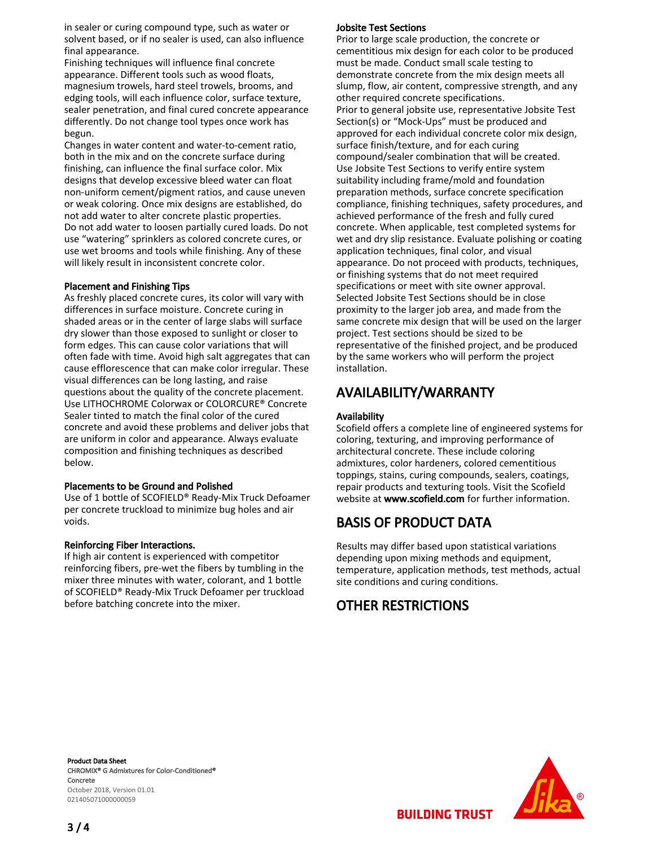in sealer or curing compound type, such as water or solvent based, or if no sealer is used, can also influence final appearance.

Finishing techniques will influence final concrete appearance. Different tools such as wood floats, magnesium trowels, hard steel trowels, brooms, and edging tools, will each influence color, surface texture, sealer penetration, and final cured concrete appearance differently. Do not change tool types once work has begun.

Changes in water content and water-to-cement ratio, both in the mix and on the concrete surface during finishing, can influence the final surface color. Mix designs that develop excessive bleed water can float non-uniform cement/pigment ratios, and cause uneven or weak coloring. Once mix designs are established, do not add water to alter concrete plastic properties. Do not add water to loosen partially cured loads. Do not use "watering" sprinklers as colored concrete cures, or use wet brooms and tools while finishing. Any of these will likely result in inconsistent concrete color.

#### Placement and Finishing Tips

As freshly placed concrete cures, its color will vary with differences in surface moisture. Concrete curing in shaded areas or in the center of large slabs will surface dry slower than those exposed to sunlight or closer to form edges. This can cause color variations that will often fade with time. Avoid high salt aggregates that can cause efflorescence that can make color irregular. These visual differences can be long lasting, and raise questions about the quality of the concrete placement. Use LITHOCHROME Colorwax or COLORCURE® Concrete Sealer tinted to match the final color of the cured concrete and avoid these problems and deliver jobs that are uniform in color and appearance. Always evaluate composition and finishing techniques as described below.

#### Placements to be Ground and Polished

Use of 1 bottle of SCOFIELD® Ready-Mix Truck Defoamer per concrete truckload to minimize bug holes and air voids.

#### Reinforcing Fiber Interactions.

If high air content is experienced with competitor reinforcing fibers, pre-wet the fibers by tumbling in the mixer three minutes with water, colorant, and 1 bottle of SCOFIELD® Ready-Mix Truck Defoamer per truckload before batching concrete into the mixer.

#### Jobsite Test Sections

Prior to large scale production, the concrete or cementitious mix design for each color to be produced must be made. Conduct small scale testing to demonstrate concrete from the mix design meets all slump, flow, air content, compressive strength, and any other required concrete specifications. Prior to general jobsite use, representative Jobsite Test Section(s) or "Mock-Ups" must be produced and approved for each individual concrete color mix design, surface finish/texture, and for each curing compound/sealer combination that will be created. Use Jobsite Test Sections to verify entire system suitability including frame/mold and foundation preparation methods, surface concrete specification compliance, finishing techniques, safety procedures, and achieved performance of the fresh and fully cured concrete. When applicable, test completed systems for wet and dry slip resistance. Evaluate polishing or coating application techniques, final color, and visual appearance. Do not proceed with products, techniques, or finishing systems that do not meet required specifications or meet with site owner approval. Selected Jobsite Test Sections should be in close proximity to the larger job area, and made from the same concrete mix design that will be used on the larger project. Test sections should be sized to be representative of the finished project, and be produced by the same workers who will perform the project installation.

## AVAILABILITY/WARRANTY

#### Availability

Scofield offers a complete line of engineered systems for coloring, texturing, and improving performance of architectural concrete. These include coloring admixtures, color hardeners, colored cementitious toppings, stains, curing compounds, sealers, coatings, repair products and texturing tools. Visit the Scofield website at www.scofield.com for further information.

## BASIS OF PRODUCT DATA

Results may differ based upon statistical variations depending upon mixing methods and equipment, temperature, application methods, test methods, actual site conditions and curing conditions.

## OTHER RESTRICTIONS

Product Data Sheet CHROMIX® G Admixtures for Color-Conditioned® Concrete October 2018, Version 01.01 021405071000000059



**BUILDING TRUST**